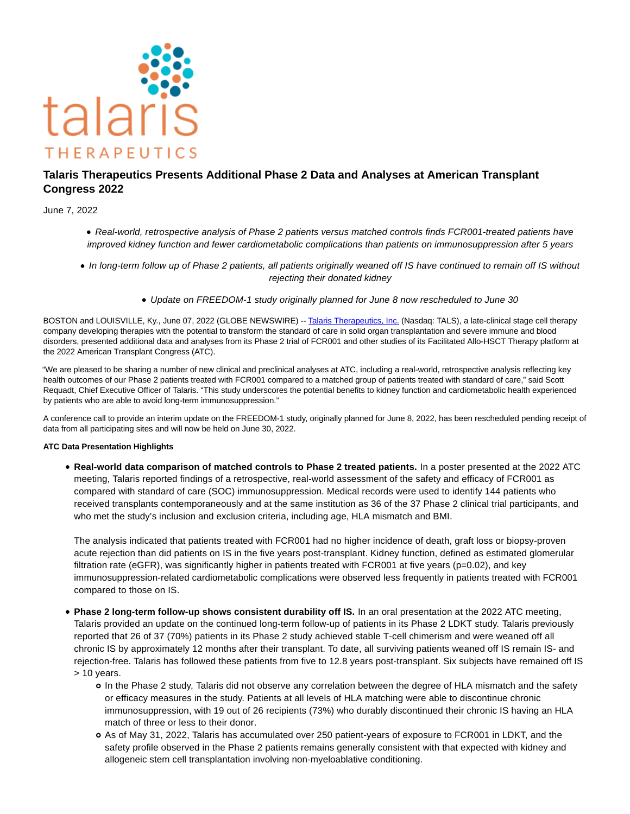

# **Talaris Therapeutics Presents Additional Phase 2 Data and Analyses at American Transplant Congress 2022**

June 7, 2022

- Real-world, retrospective analysis of Phase 2 patients versus matched controls finds FCR001-treated patients have improved kidney function and fewer cardiometabolic complications than patients on immunosuppression after 5 years
- In long-term follow up of Phase 2 patients, all patients originally weaned off IS have continued to remain off IS without rejecting their donated kidney
	- Update on FREEDOM-1 study originally planned for June 8 now rescheduled to June 30

BOSTON and LOUISVILLE, Ky., June 07, 2022 (GLOBE NEWSWIRE) -- [Talaris Therapeutics, Inc. \(](https://www.globenewswire.com/Tracker?data=lYFkMN2bQM0l0NhYGEs7LlNOqrQZ2L92mRlpAuL0dyXOn_oHcBvjvlbEdKqfdAu36OKyRXKuZBbVgimkd9LL3JPE6mACX8kQDhOWDI1CbqI=)Nasdaq: TALS), a late-clinical stage cell therapy company developing therapies with the potential to transform the standard of care in solid organ transplantation and severe immune and blood disorders, presented additional data and analyses from its Phase 2 trial of FCR001 and other studies of its Facilitated Allo-HSCT Therapy platform at the 2022 American Transplant Congress (ATC).

"We are pleased to be sharing a number of new clinical and preclinical analyses at ATC, including a real-world, retrospective analysis reflecting key health outcomes of our Phase 2 patients treated with FCR001 compared to a matched group of patients treated with standard of care," said Scott Requadt, Chief Executive Officer of Talaris. "This study underscores the potential benefits to kidney function and cardiometabolic health experienced by patients who are able to avoid long-term immunosuppression."

A conference call to provide an interim update on the FREEDOM-1 study, originally planned for June 8, 2022, has been rescheduled pending receipt of data from all participating sites and will now be held on June 30, 2022.

## **ATC Data Presentation Highlights**

**Real-world data comparison of matched controls to Phase 2 treated patients.** In a poster presented at the 2022 ATC meeting, Talaris reported findings of a retrospective, real-world assessment of the safety and efficacy of FCR001 as compared with standard of care (SOC) immunosuppression. Medical records were used to identify 144 patients who received transplants contemporaneously and at the same institution as 36 of the 37 Phase 2 clinical trial participants, and who met the study's inclusion and exclusion criteria, including age, HLA mismatch and BMI.

The analysis indicated that patients treated with FCR001 had no higher incidence of death, graft loss or biopsy-proven acute rejection than did patients on IS in the five years post-transplant. Kidney function, defined as estimated glomerular filtration rate (eGFR), was significantly higher in patients treated with FCR001 at five years (p=0.02), and key immunosuppression-related cardiometabolic complications were observed less frequently in patients treated with FCR001 compared to those on IS.

- **Phase 2 long-term follow-up shows consistent durability off IS.** In an oral presentation at the 2022 ATC meeting, Talaris provided an update on the continued long-term follow-up of patients in its Phase 2 LDKT study. Talaris previously reported that 26 of 37 (70%) patients in its Phase 2 study achieved stable T-cell chimerism and were weaned off all chronic IS by approximately 12 months after their transplant. To date, all surviving patients weaned off IS remain IS- and rejection-free. Talaris has followed these patients from five to 12.8 years post-transplant. Six subjects have remained off IS > 10 years.
	- In the Phase 2 study, Talaris did not observe any correlation between the degree of HLA mismatch and the safety or efficacy measures in the study. Patients at all levels of HLA matching were able to discontinue chronic immunosuppression, with 19 out of 26 recipients (73%) who durably discontinued their chronic IS having an HLA match of three or less to their donor.
	- As of May 31, 2022, Talaris has accumulated over 250 patient-years of exposure to FCR001 in LDKT, and the safety profile observed in the Phase 2 patients remains generally consistent with that expected with kidney and allogeneic stem cell transplantation involving non-myeloablative conditioning.